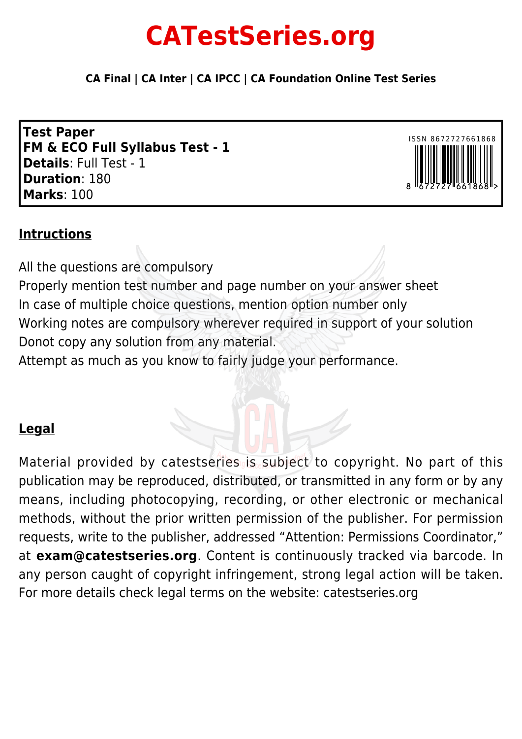# **CATestSeries.org**

**CA Final | CA Inter | CA IPCC | CA Foundation Online Test Series**

**Test Paper FM & ECO Full Syllabus Test - 1 Details**: Full Test - 1 **Duration**: 180 **Marks**: 100



# **Intructions**

All the questions are compulsory Properly mention test number and page number on your answer sheet In case of multiple choice questions, mention option number only Working notes are compulsory wherever required in support of your solution Donot copy any solution from any material. Attempt as much as you know to fairly judge your performance.

# **Legal**

Material provided by catestseries is subject to copyright. No part of this publication may be reproduced, distributed, or transmitted in any form or by any means, including photocopying, recording, or other electronic or mechanical methods, without the prior written permission of the publisher. For permission requests, write to the publisher, addressed "Attention: Permissions Coordinator," at **exam@catestseries.org**. Content is continuously tracked via barcode. In any person caught of copyright infringement, strong legal action will be taken. For more details check legal terms on the website: catestseries.org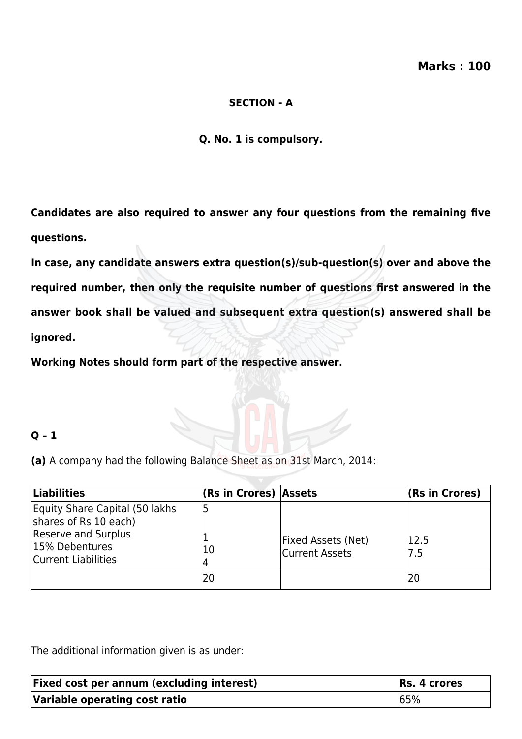#### **SECTION - A**

**Q. No. 1 is compulsory.**

**Candidates are also required to answer any four questions from the remaining five questions.**

**In case, any candidate answers extra question(s)/sub-question(s) over and above the required number, then only the requisite number of questions first answered in the answer book shall be valued and subsequent extra question(s) answered shall be ignored.**

**Working Notes should form part of the respective answer.**

# **Q – 1**

**(a)** A company had the following Balance Sheet as on 31st March, 2014:

| <b>Liabilities</b>                                                                                                      | (Rs in Crores) Assets |                                             | $ $ (Rs in Crores) |
|-------------------------------------------------------------------------------------------------------------------------|-----------------------|---------------------------------------------|--------------------|
| Equity Share Capital (50 lakhs<br>shares of Rs 10 each)<br>Reserve and Surplus<br>15% Debentures<br>Current Liabilities | 10                    | <b>Fixed Assets (Net)</b><br>Current Assets | 12.5<br>l7.5       |
|                                                                                                                         |                       |                                             | 20                 |

The additional information given is as under:

| <b>Fixed cost per annum (excluding interest)</b> | $RS. 4$ crores |
|--------------------------------------------------|----------------|
| Variable operating cost ratio                    | 165%           |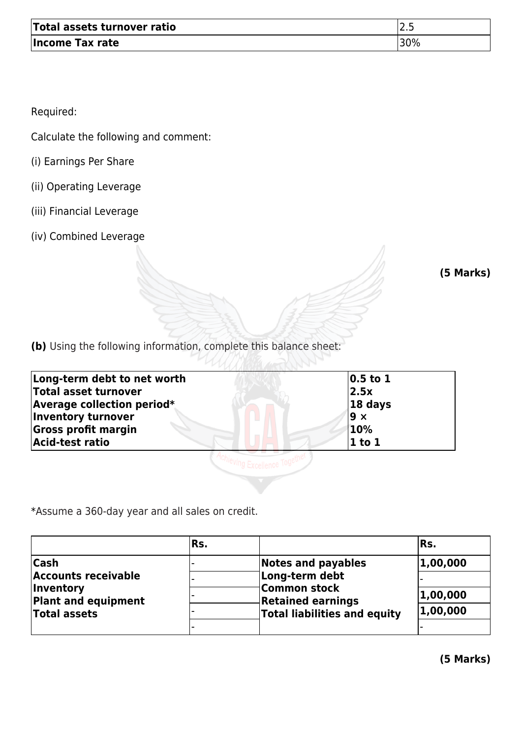| Total assets turnover ratio | <u>.</u> |
|-----------------------------|----------|
| Income Tax rate             | 30%      |

Required:

Calculate the following and comment:

- (i) Earnings Per Share
- (ii) Operating Leverage
- (iii) Financial Leverage
- (iv) Combined Leverage

**(5 Marks)**

**(b)** Using the following information, complete this balance sheet:

| $ 0.5$ to 1 |
|-------------|
| 2.5x        |
| $ 18$ days  |
| l9 ×        |
| 10%         |
| $ 1$ to $1$ |
|             |
|             |

\*Assume a 360-day year and all sales on credit.

|                                                                              | lRs. |                                                                                        | Rs.      |
|------------------------------------------------------------------------------|------|----------------------------------------------------------------------------------------|----------|
| <b>Cash</b><br><b>Accounts receivable</b>                                    |      | Notes and payables<br>Long-term debt                                                   | 1,00,000 |
| <i><b>Inventory</b></i><br><b>Plant and equipment</b><br><b>Total assets</b> |      | <b>Common stock</b><br><b>Retained earnings</b><br><b>Total liabilities and equity</b> | 1,00,000 |
|                                                                              |      |                                                                                        | 1,00,000 |
|                                                                              |      |                                                                                        |          |

**(5 Marks)**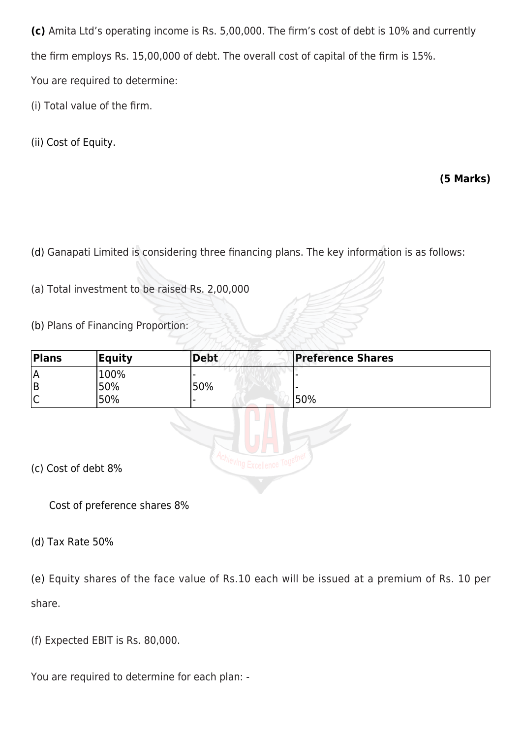**(c)** Amita Ltd's operating income is Rs. 5,00,000. The firm's cost of debt is 10% and currently the firm employs Rs. 15,00,000 of debt. The overall cost of capital of the firm is 15%. You are required to determine:

(i) Total value of the firm.

(ii) Cost of Equity.

# **(5 Marks)**

(d) Ganapati Limited is considering three financing plans. The key information is as follows:

(a) Total investment to be raised Rs. 2,00,000

(b) Plans of Financing Proportion:

| Plans               | <b>Equity</b> | <b>Debt</b> | <b>Preference Shares</b> |  |
|---------------------|---------------|-------------|--------------------------|--|
| ١A                  | 100%          |             |                          |  |
| ΙB                  | 50%           | 50%         |                          |  |
| lC                  | 50%           |             | 50%                      |  |
|                     |               |             |                          |  |
| (c) Cost of debt 8% |               |             |                          |  |

Cost of preference shares 8%

(d) Tax Rate 50%

(e) Equity shares of the face value of Rs.10 each will be issued at a premium of Rs. 10 per share.

(f) Expected EBIT is Rs. 80,000.

You are required to determine for each plan: -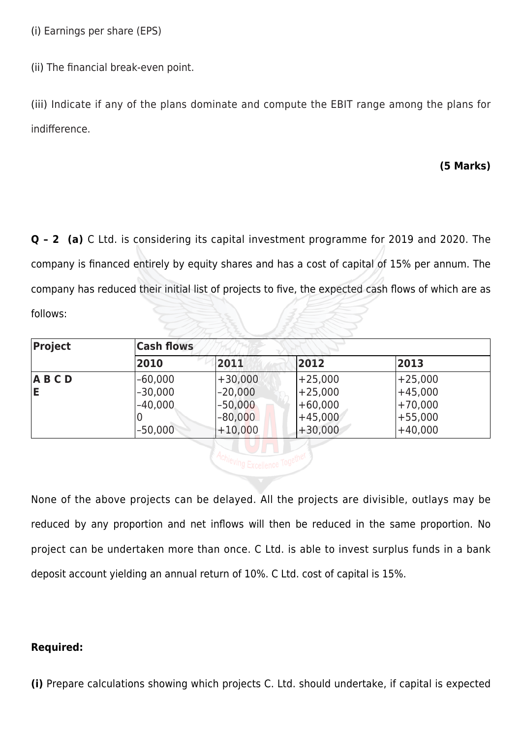(i) Earnings per share (EPS)

(ii) The financial break-even point.

(iii) Indicate if any of the plans dominate and compute the EBIT range among the plans for indifference.

#### **(5 Marks)**

**Q – 2 (a)** C Ltd. is considering its capital investment programme for 2019 and 2020. The company is financed entirely by equity shares and has a cost of capital of 15% per annum. The company has reduced their initial list of projects to five, the expected cash flows of which are as follows:

| Project   | <b>Cash flows</b> |           |           |           |
|-----------|-------------------|-----------|-----------|-----------|
|           | 2010              | 2011      | 2012      | 2013      |
| $A$ B C D | $-60,000$         | $+30,000$ | $+25,000$ | $+25,000$ |
| E         | $-30,000$         | $-20,000$ | $+25,000$ | $+45,000$ |
|           | $-40,000$         | $-50,000$ | $+60,000$ | $+70,000$ |
|           | O                 | $-80,000$ | $+45,000$ | $+55,000$ |
|           | $-50,000$         | $+10,000$ | $+30,000$ | $+40,000$ |

Achieving Excellence Together

None of the above projects can be delayed. All the projects are divisible, outlays may be reduced by any proportion and net inflows will then be reduced in the same proportion. No project can be undertaken more than once. C Ltd. is able to invest surplus funds in a bank deposit account yielding an annual return of 10%. C Ltd. cost of capital is 15%.

#### **Required:**

**(i)** Prepare calculations showing which projects C. Ltd. should undertake, if capital is expected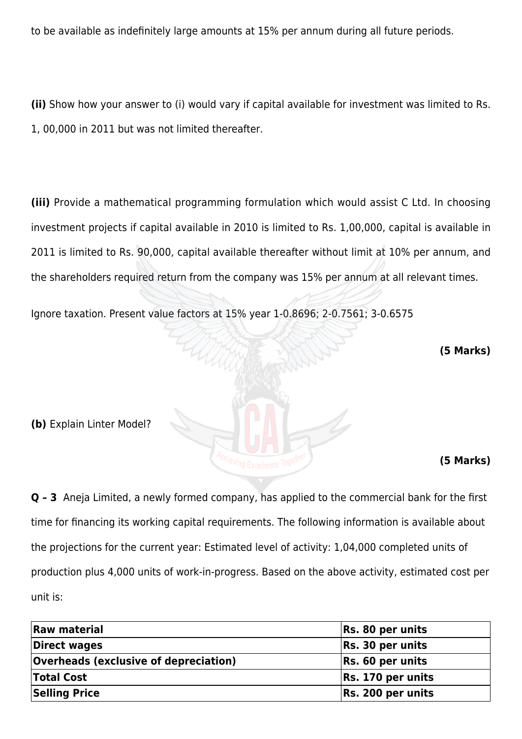to be available as indefinitely large amounts at 15% per annum during all future periods.

**(ii)** Show how your answer to (i) would vary if capital available for investment was limited to Rs. 1, 00,000 in 2011 but was not limited thereafter.

**(iii)** Provide a mathematical programming formulation which would assist C Ltd. In choosing investment projects if capital available in 2010 is limited to Rs. 1,00,000, capital is available in 2011 is limited to Rs. 90,000, capital available thereafter without limit at 10% per annum, and the shareholders required return from the company was 15% per annum at all relevant times.

Ignore taxation. Present value factors at 15% year 1-0.8696; 2-0.7561; 3-0.6575

UM

 **(5 Marks)**

**(b)** Explain Linter Model?

**(5 Marks)**

**Q – 3** Aneja Limited, a newly formed company, has applied to the commercial bank for the first time for financing its working capital requirements. The following information is available about the projections for the current year: Estimated level of activity: 1,04,000 completed units of production plus 4,000 units of work-in-progress. Based on the above activity, estimated cost per unit is:

| <b>Raw material</b>                          | Rs. 80 per units  |
|----------------------------------------------|-------------------|
| Direct wages                                 | Rs. 30 per units  |
| <b>Overheads (exclusive of depreciation)</b> | Rs. 60 per units  |
| <b>Total Cost</b>                            | Rs. 170 per units |
| <b>Selling Price</b>                         | Rs. 200 per units |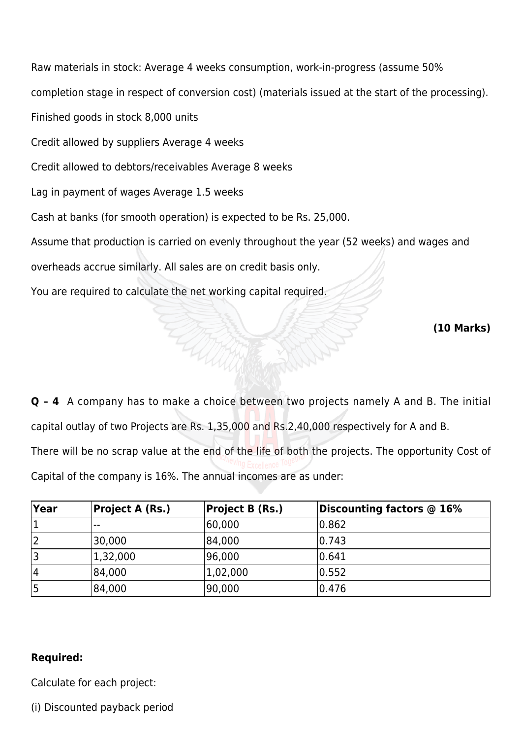Raw materials in stock: Average 4 weeks consumption, work-in-progress (assume 50% completion stage in respect of conversion cost) (materials issued at the start of the processing). Finished goods in stock 8,000 units Credit allowed by suppliers Average 4 weeks Credit allowed to debtors/receivables Average 8 weeks Lag in payment of wages Average 1.5 weeks Cash at banks (for smooth operation) is expected to be Rs. 25,000. Assume that production is carried on evenly throughout the year (52 weeks) and wages and overheads accrue similarly. All sales are on credit basis only. You are required to calculate the net working capital required.

**(10 Marks)**

**Q – 4** A company has to make a choice between two projects namely A and B. The initial capital outlay of two Projects are Rs. 1,35,000 and Rs.2,40,000 respectively for A and B. There will be no scrap value at the end of the life of both the projects. The opportunity Cost of Capital of the company is 16%. The annual incomes are as under:

**Contractor** 

| Year | <b>Project A (Rs.)</b> | <b>Project B (Rs.)</b> | Discounting factors @ 16% |
|------|------------------------|------------------------|---------------------------|
|      | $-$                    | 60,000                 | $ 0.862\rangle$           |
|      | 30,000                 | 84,000                 | 10.743                    |
|      | 1,32,000               | 96,000                 | 0.641                     |
| 14   | 84,000                 | 1,02,000               | 0.552                     |
|      | 84,000                 | 90,000                 | 0.476                     |

# **Required:**

Calculate for each project:

(i) Discounted payback period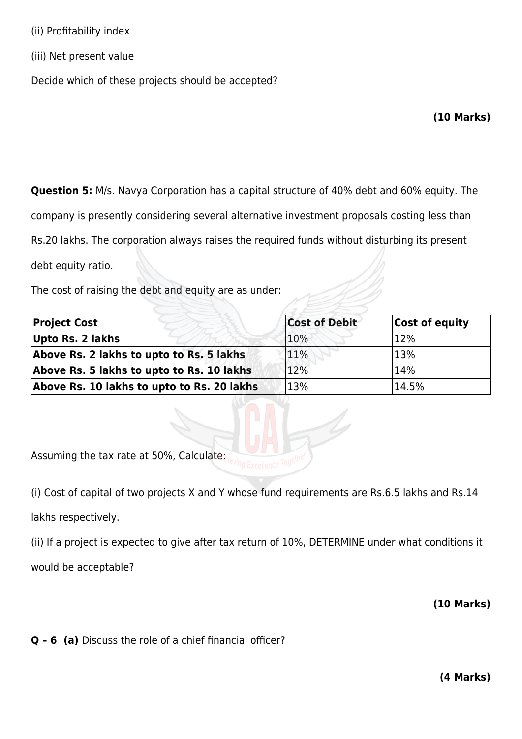- (ii) Profitability index
- (iii) Net present value

Decide which of these projects should be accepted?

#### **(10 Marks)**

**Question 5:** M/s. Navya Corporation has a capital structure of 40% debt and 60% equity. The

company is presently considering several alternative investment proposals costing less than

Rs.20 lakhs. The corporation always raises the required funds without disturbing its present

debt equity ratio.

The cost of raising the debt and equity are as under:

| <b>Project Cost</b>                        | <b>Cost of Debit</b> | Cost of equity |
|--------------------------------------------|----------------------|----------------|
| Upto Rs. 2 lakhs                           | 10%                  | 12%            |
| Above Rs. 2 lakhs to upto to Rs. 5 lakhs   | 11%                  | 13%            |
| Above Rs. 5 lakhs to upto to Rs. 10 lakhs  | 12%                  | 14%            |
| Above Rs. 10 lakhs to upto to Rs. 20 lakhs | 13%                  | 14.5%          |

Assuming the tax rate at 50%, Calculate:

(i) Cost of capital of two projects X and Y whose fund requirements are Rs.6.5 lakhs and Rs.14 lakhs respectively.

(ii) If a project is expected to give after tax return of 10%, DETERMINE under what conditions it would be acceptable?

#### **(10 Marks)**

**Q – 6 (a)** Discuss the role of a chief financial officer?

**(4 Marks)**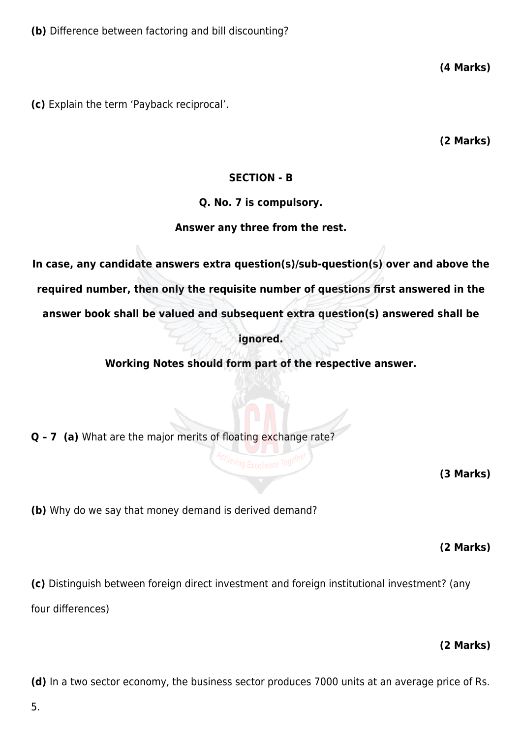**(c)** Explain the term 'Payback reciprocal'.

**(2 Marks)**

**(4 Marks)**

#### **SECTION - B**

#### **Q. No. 7 is compulsory.**

#### **Answer any three from the rest.**

**In case, any candidate answers extra question(s)/sub-question(s) over and above the required number, then only the requisite number of questions first answered in the answer book shall be valued and subsequent extra question(s) answered shall be**

#### **ignored.**

**Working Notes should form part of the respective answer.**

**Q – 7 (a)** What are the major merits of floating exchange rate?

**(3 Marks)**

**(b)** Why do we say that money demand is derived demand?

**(2 Marks)**

**(c)** Distinguish between foreign direct investment and foreign institutional investment? (any four differences)

#### **(2 Marks)**

**(d)** In a two sector economy, the business sector produces 7000 units at an average price of Rs.

5.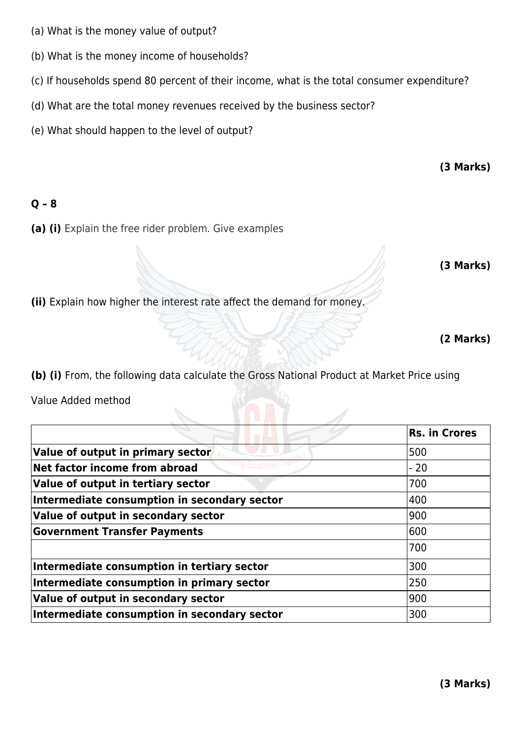- (a) What is the money value of output?
- (b) What is the money income of households?
- (c) If households spend 80 percent of their income, what is the total consumer expenditure?
- (d) What are the total money revenues received by the business sector?
- (e) What should happen to the level of output?

**(3 Marks)**

#### **Q – 8**

**(a) (i)** Explain the free rider problem. Give examples

**(3 Marks)**

**(ii)** Explain how higher the interest rate affect the demand for money.

**(2 Marks)**

**(b) (i)** From, the following data calculate the Gross National Product at Market Price using

Value Added method

|                                              | Rs. in Crores |
|----------------------------------------------|---------------|
| Value of output in primary sector            | 500           |
| Net factor income from abroad                | - 20          |
| Value of output in tertiary sector           | 700           |
| Intermediate consumption in secondary sector | 400           |
| Value of output in secondary sector          | 900           |
| <b>Government Transfer Payments</b>          | 600           |
|                                              | 700           |
| Intermediate consumption in tertiary sector  | 300           |
| Intermediate consumption in primary sector   | 250           |
| Value of output in secondary sector          | 900           |
| Intermediate consumption in secondary sector | 300           |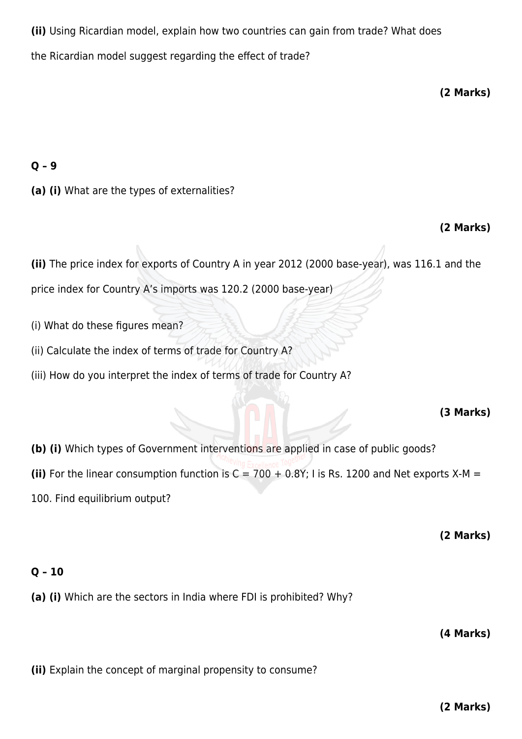**(ii)** Using Ricardian model, explain how two countries can gain from trade? What does the Ricardian model suggest regarding the effect of trade?

**(2 Marks)**

# **Q – 9**

**(a) (i)** What are the types of externalities?

# **(2 Marks)**

**(ii)** The price index for exports of Country A in year 2012 (2000 base-year), was 116.1 and the

price index for Country A's imports was 120.2 (2000 base-year)

- (i) What do these figures mean?
- (ii) Calculate the index of terms of trade for Country A?
- (iii) How do you interpret the index of terms of trade for Country A?

# **(3 Marks)**

**(b) (i)** Which types of Government interventions are applied in case of public goods? (ii) For the linear consumption function is  $C = 700 + 0.8Y$ ; I is Rs. 1200 and Net exports X-M = 100. Find equilibrium output?

**(2 Marks)**

# **Q – 10**

**(a) (i)** Which are the sectors in India where FDI is prohibited? Why?

**(4 Marks)**

**(ii)** Explain the concept of marginal propensity to consume?